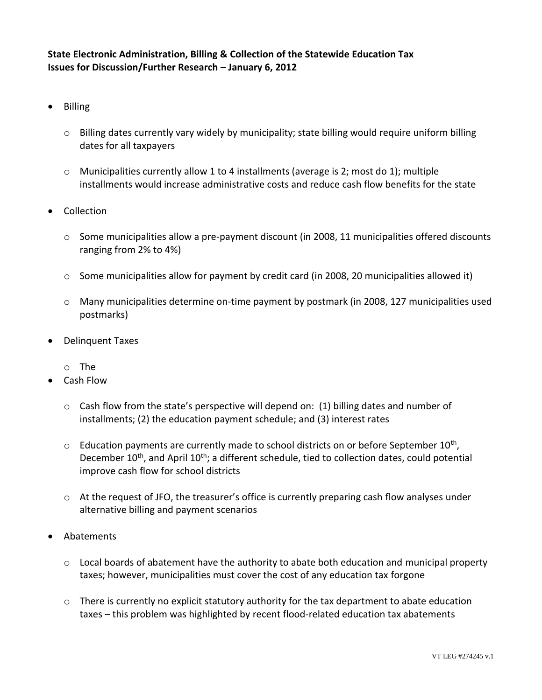**State Electronic Administration, Billing & Collection of the Statewide Education Tax Issues for Discussion/Further Research – January 6, 2012**

- Billing
	- $\circ$  Billing dates currently vary widely by municipality; state billing would require uniform billing dates for all taxpayers
	- $\circ$  Municipalities currently allow 1 to 4 installments (average is 2; most do 1); multiple installments would increase administrative costs and reduce cash flow benefits for the state
- Collection
	- $\circ$  Some municipalities allow a pre-payment discount (in 2008, 11 municipalities offered discounts ranging from 2% to 4%)
	- $\circ$  Some municipalities allow for payment by credit card (in 2008, 20 municipalities allowed it)
	- o Many municipalities determine on-time payment by postmark (in 2008, 127 municipalities used postmarks)
- Delinquent Taxes
	- o The
- Cash Flow
	- $\circ$  Cash flow from the state's perspective will depend on: (1) billing dates and number of installments; (2) the education payment schedule; and (3) interest rates
	- $\circ$  Education payments are currently made to school districts on or before September 10<sup>th</sup>, December 10<sup>th</sup>, and April 10<sup>th</sup>; a different schedule, tied to collection dates, could potential improve cash flow for school districts
	- $\circ$  At the request of JFO, the treasurer's office is currently preparing cash flow analyses under alternative billing and payment scenarios
- Abatements
	- $\circ$  Local boards of abatement have the authority to abate both education and municipal property taxes; however, municipalities must cover the cost of any education tax forgone
	- $\circ$  There is currently no explicit statutory authority for the tax department to abate education taxes – this problem was highlighted by recent flood-related education tax abatements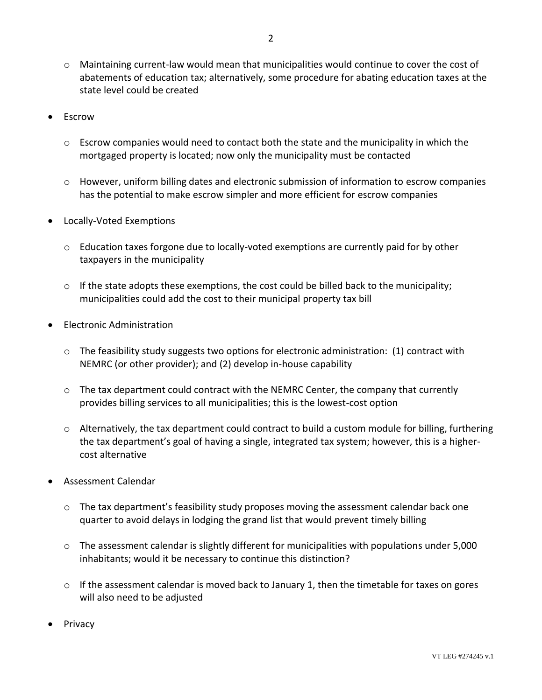- $\circ$  Maintaining current-law would mean that municipalities would continue to cover the cost of abatements of education tax; alternatively, some procedure for abating education taxes at the state level could be created
- **Escrow** 
	- $\circ$  Escrow companies would need to contact both the state and the municipality in which the mortgaged property is located; now only the municipality must be contacted
	- $\circ$  However, uniform billing dates and electronic submission of information to escrow companies has the potential to make escrow simpler and more efficient for escrow companies
- Locally-Voted Exemptions
	- o Education taxes forgone due to locally-voted exemptions are currently paid for by other taxpayers in the municipality
	- $\circ$  If the state adopts these exemptions, the cost could be billed back to the municipality; municipalities could add the cost to their municipal property tax bill
- Electronic Administration
	- $\circ$  The feasibility study suggests two options for electronic administration: (1) contract with NEMRC (or other provider); and (2) develop in-house capability
	- $\circ$  The tax department could contract with the NEMRC Center, the company that currently provides billing services to all municipalities; this is the lowest-cost option
	- $\circ$  Alternatively, the tax department could contract to build a custom module for billing, furthering the tax department's goal of having a single, integrated tax system; however, this is a highercost alternative
- Assessment Calendar
	- $\circ$  The tax department's feasibility study proposes moving the assessment calendar back one quarter to avoid delays in lodging the grand list that would prevent timely billing
	- $\circ$  The assessment calendar is slightly different for municipalities with populations under 5,000 inhabitants; would it be necessary to continue this distinction?
	- $\circ$  If the assessment calendar is moved back to January 1, then the timetable for taxes on gores will also need to be adjusted
- Privacy